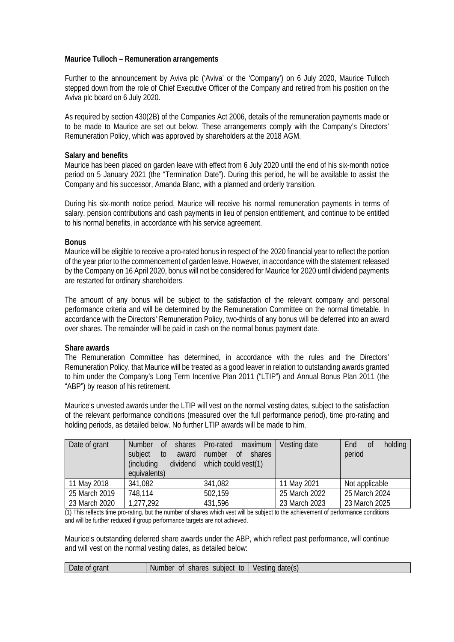# **Maurice Tulloch – Remuneration arrangements**

Further to the announcement by Aviva plc ('Aviva' or the 'Company') on 6 July 2020, Maurice Tulloch stepped down from the role of Chief Executive Officer of the Company and retired from his position on the Aviva plc board on 6 July 2020.

As required by section 430(2B) of the Companies Act 2006, details of the remuneration payments made or to be made to Maurice are set out below. These arrangements comply with the Company's Directors' Remuneration Policy, which was approved by shareholders at the 2018 AGM.

### **Salary and benefits**

Maurice has been placed on garden leave with effect from 6 July 2020 until the end of his six-month notice period on 5 January 2021 (the "Termination Date"). During this period, he will be available to assist the Company and his successor, Amanda Blanc, with a planned and orderly transition.

During his six-month notice period, Maurice will receive his normal remuneration payments in terms of salary, pension contributions and cash payments in lieu of pension entitlement, and continue to be entitled to his normal benefits, in accordance with his service agreement.

# **Bonus**

Maurice will be eligible to receive a pro-rated bonus in respect of the 2020 financial year to reflect the portion of the year prior to the commencement of garden leave. However, in accordance with the statement released by the Company on 16 April 2020, bonus will not be considered for Maurice for 2020 until dividend payments are restarted for ordinary shareholders.

The amount of any bonus will be subject to the satisfaction of the relevant company and personal performance criteria and will be determined by the Remuneration Committee on the normal timetable. In accordance with the Directors' Remuneration Policy, two-thirds of any bonus will be deferred into an award over shares. The remainder will be paid in cash on the normal bonus payment date.

### **Share awards**

The Remuneration Committee has determined, in accordance with the rules and the Directors' Remuneration Policy, that Maurice will be treated as a good leaver in relation to outstanding awards granted to him under the Company's Long Term Incentive Plan 2011 ("LTIP") and Annual Bonus Plan 2011 (the "ABP") by reason of his retirement.

Maurice's unvested awards under the LTIP will vest on the normal vesting dates, subject to the satisfaction of the relevant performance conditions (measured over the full performance period), time pro-rating and holding periods, as detailed below. No further LTIP awards will be made to him.

| Date of grant | <b>Number</b><br>0f<br>shares<br>subject<br>award<br>to<br>dividend<br>(including<br>equivalents) | maximum<br>Pro-rated<br>number<br>shares<br>of<br>which could vest(1) | Vesting date  | holding<br>End<br>0f<br>period |
|---------------|---------------------------------------------------------------------------------------------------|-----------------------------------------------------------------------|---------------|--------------------------------|
| 11 May 2018   | 341,082                                                                                           | 341,082                                                               | 11 May 2021   | Not applicable                 |
| 25 March 2019 | 748,114                                                                                           | 502,159                                                               | 25 March 2022 | 25 March 2024                  |
| 23 March 2020 | 1,277,292                                                                                         | 431,596                                                               | 23 March 2023 | 23 March 2025                  |

(1) This reflects time pro-rating, but the number of shares which vest will be subject to the achievement of performance conditions and will be further reduced if group performance targets are not achieved.

Maurice's outstanding deferred share awards under the ABP, which reflect past performance, will continue and will vest on the normal vesting dates, as detailed below:

| <b>Number</b><br>grant<br>subiect<br>datels<br>ehar∩e<br>to<br>Date<br>Оİ<br>sting 1<br>Ûl<br>snare.<br>v l |  |
|-------------------------------------------------------------------------------------------------------------|--|
|-------------------------------------------------------------------------------------------------------------|--|